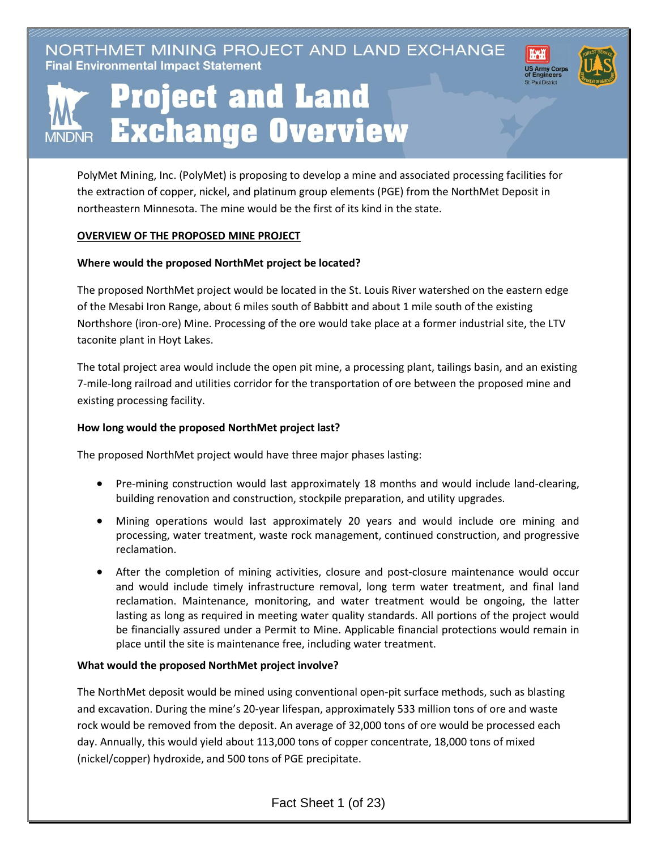NORTHMET MINING PROJECT AND LAND EXCHANGE **Final Environmental Impact Statement** 





# **Project and Land Exchange Overview**

PolyMet Mining, Inc. (PolyMet) is proposing to develop a mine and associated processing facilities for the extraction of copper, nickel, and platinum group elements (PGE) from the NorthMet Deposit in northeastern Minnesota. The mine would be the first of its kind in the state.

# **OVERVIEW OF THE PROPOSED MINE PROJECT**

# **Where would the proposed NorthMet project be located?**

The proposed NorthMet project would be located in the St. Louis River watershed on the eastern edge of the Mesabi Iron Range, about 6 miles south of Babbitt and about 1 mile south of the existing Northshore (iron-ore) Mine. Processing of the ore would take place at a former industrial site, the LTV taconite plant in Hoyt Lakes.

The total project area would include the open pit mine, a processing plant, tailings basin, and an existing 7-mile-long railroad and utilities corridor for the transportation of ore between the proposed mine and existing processing facility.

# **How long would the proposed NorthMet project last?**

The proposed NorthMet project would have three major phases lasting:

- Pre-mining construction would last approximately 18 months and would include land-clearing, building renovation and construction, stockpile preparation, and utility upgrades.
- Mining operations would last approximately 20 years and would include ore mining and processing, water treatment, waste rock management, continued construction, and progressive reclamation.
- After the completion of mining activities, closure and post-closure maintenance would occur and would include timely infrastructure removal, long term water treatment, and final land reclamation. Maintenance, monitoring, and water treatment would be ongoing, the latter lasting as long as required in meeting water quality standards. All portions of the project would be financially assured under a Permit to Mine. Applicable financial protections would remain in place until the site is maintenance free, including water treatment.

### **What would the proposed NorthMet project involve?**

The NorthMet deposit would be mined using conventional open-pit surface methods, such as blasting and excavation. During the mine's 20-year lifespan, approximately 533 million tons of ore and waste rock would be removed from the deposit. An average of 32,000 tons of ore would be processed each day. Annually, this would yield about 113,000 tons of copper concentrate, 18,000 tons of mixed (nickel/copper) hydroxide, and 500 tons of PGE precipitate.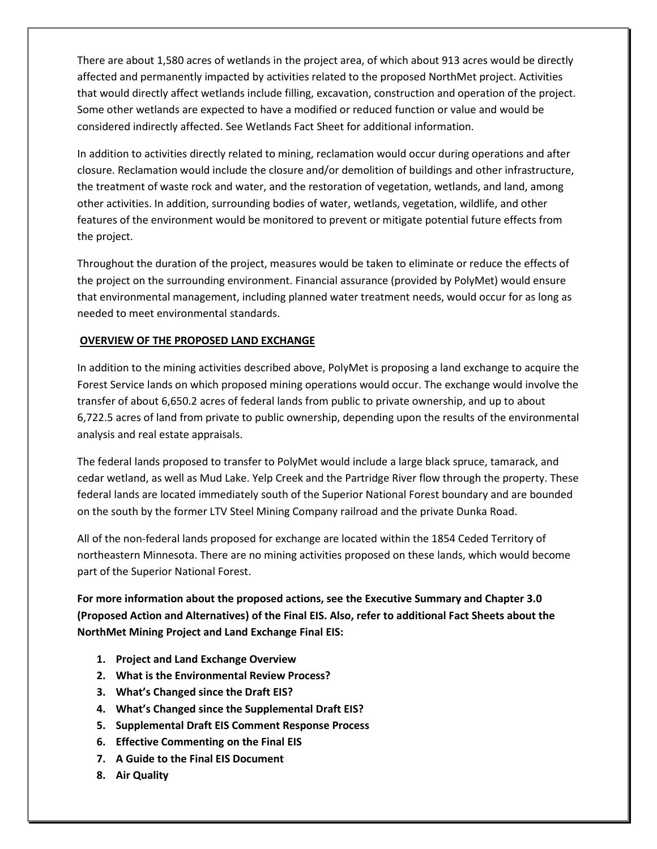There are about 1,580 acres of wetlands in the project area, of which about 913 acres would be directly affected and permanently impacted by activities related to the proposed NorthMet project. Activities that would directly affect wetlands include filling, excavation, construction and operation of the project. Some other wetlands are expected to have a modified or reduced function or value and would be considered indirectly affected. See Wetlands Fact Sheet for additional information.

In addition to activities directly related to mining, reclamation would occur during operations and after closure. Reclamation would include the closure and/or demolition of buildings and other infrastructure, the treatment of waste rock and water, and the restoration of vegetation, wetlands, and land, among other activities. In addition, surrounding bodies of water, wetlands, vegetation, wildlife, and other features of the environment would be monitored to prevent or mitigate potential future effects from the project.

Throughout the duration of the project, measures would be taken to eliminate or reduce the effects of the project on the surrounding environment. Financial assurance (provided by PolyMet) would ensure that environmental management, including planned water treatment needs, would occur for as long as needed to meet environmental standards.

### **OVERVIEW OF THE PROPOSED LAND EXCHANGE**

In addition to the mining activities described above, PolyMet is proposing a land exchange to acquire the Forest Service lands on which proposed mining operations would occur. The exchange would involve the transfer of about 6,650.2 acres of federal lands from public to private ownership, and up to about 6,722.5 acres of land from private to public ownership, depending upon the results of the environmental analysis and real estate appraisals.

The federal lands proposed to transfer to PolyMet would include a large black spruce, tamarack, and cedar wetland, as well as Mud Lake. Yelp Creek and the Partridge River flow through the property. These federal lands are located immediately south of the Superior National Forest boundary and are bounded on the south by the former LTV Steel Mining Company railroad and the private Dunka Road.

All of the non-federal lands proposed for exchange are located within the 1854 Ceded Territory of northeastern Minnesota. There are no mining activities proposed on these lands, which would become part of the Superior National Forest.

**For more information about the proposed actions, see the Executive Summary and Chapter 3.0 (Proposed Action and Alternatives) of the Final EIS. Also, refer to additional Fact Sheets about the NorthMet Mining Project and Land Exchange Final EIS:**

- **1. Project and Land Exchange Overview**
- **2. What is the Environmental Review Process?**
- **3. What's Changed since the Draft EIS?**
- **4. What's Changed since the Supplemental Draft EIS?**
- **5. Supplemental Draft EIS Comment Response Process**
- **6. Effective Commenting on the Final EIS**
- **7. A Guide to the Final EIS Document**
- **8. Air Quality**